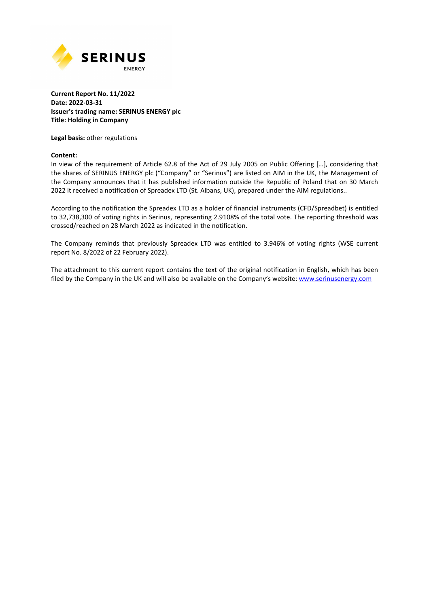

#### **Current Report No. 11/2022 Date: 2022-03-31 Issuer's trading name: SERINUS ENERGY plc Title: Holding in Company**

**Legal basis:** other regulations

#### **Content:**

In view of the requirement of Article 62.8 of the Act of 29 July 2005 on Public Offering […], considering that the shares of SERINUS ENERGY plc ("Company" or "Serinus") are listed on AIM in the UK, the Management of the Company announces that it has published information outside the Republic of Poland that on 30 March 2022 it received a notification of Spreadex LTD (St. Albans, UK), prepared under the AIM regulations..

According to the notification the Spreadex LTD as a holder of financial instruments (CFD/Spreadbet) is entitled to 32,738,300 of voting rights in Serinus, representing 2.9108% of the total vote. The reporting threshold was crossed/reached on 28 March 2022 as indicated in the notification.

The Company reminds that previously Spreadex LTD was entitled to 3.946% of voting rights (WSE current report No. 8/2022 of 22 February 2022).

The attachment to this current report contains the text of the original notification in English, which has been filed by the Company in the UK and will also be available on the Company's website: www.serinusenergy.com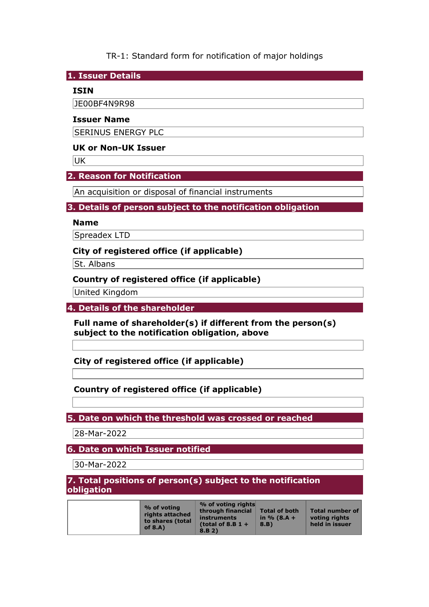TR-1: Standard form for notification of major holdings

**1. Issuer Details** 

### **ISIN**

JE00BF4N9R98

#### **Issuer Name**

SERINUS ENERGY PLC

### **UK or Non-UK Issuer**

UK

### **2. Reason for Notification**

An acquisition or disposal of financial instruments

### **3. Details of person subject to the notification obligation**

#### **Name**

Spreadex LTD

### **City of registered office (if applicable)**

St. Albans

### **Country of registered office (if applicable)**

United Kingdom

**4. Details of the shareholder** 

**Full name of shareholder(s) if different from the person(s) subject to the notification obligation, above** 

**City of registered office (if applicable)** 

## **Country of registered office (if applicable)**

**5. Date on which the threshold was crossed or reached** 

28-Mar-2022

**6. Date on which Issuer notified** 

30-Mar-2022

**7. Total positions of person(s) subject to the notification obligation** 

| % of voting<br>rights attached<br>to shares (total<br>of $8.A$ ) | % of voting rights<br>through financial<br>instruments<br>(total of 8.B $1 +$<br>8.B.2) | <b>Total of both</b><br>in $% (8.A +$<br>8.B) | <b>Total number of</b><br>voting rights<br>held in issuer |
|------------------------------------------------------------------|-----------------------------------------------------------------------------------------|-----------------------------------------------|-----------------------------------------------------------|
|------------------------------------------------------------------|-----------------------------------------------------------------------------------------|-----------------------------------------------|-----------------------------------------------------------|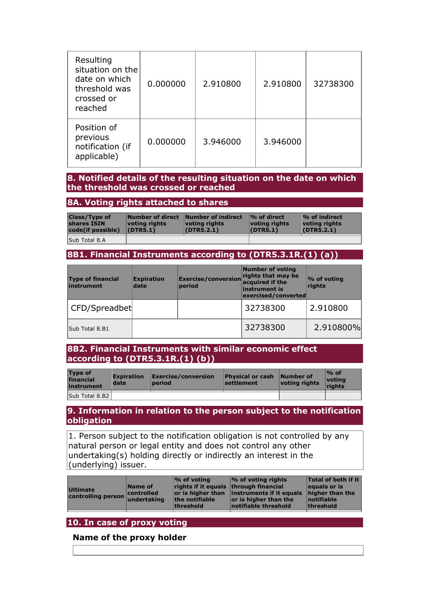| Resulting<br>situation on the<br>date on which<br>threshold was<br>crossed or<br>reached | 0.000000 | 2.910800 | 2.910800 | 32738300 |
|------------------------------------------------------------------------------------------|----------|----------|----------|----------|
| Position of<br>previous<br>notification (if<br>applicable)                               | 0.000000 | 3.946000 | 3.946000 |          |

#### **8. Notified details of the resulting situation on the date on which the threshold was crossed or reached**

### **8A. Voting rights attached to shares**

| <b>Class/Type of</b><br>shares ISIN<br>code(if possible) | votina riahts<br>(DTR5.1) | Number of direct Number of indirect<br>votina riahts<br>(DTR5.2.1) | $\mathcal{O}_0$ of direct<br>voting rights<br>(DTR5.1) | $\frac{1}{2}$ of indirect<br>voting rights<br>(DTR5.2.1) |
|----------------------------------------------------------|---------------------------|--------------------------------------------------------------------|--------------------------------------------------------|----------------------------------------------------------|
| Sub Total 8.A                                            |                           |                                                                    |                                                        |                                                          |

#### **8B1. Financial Instruments according to (DTR5.3.1R.(1) (a))**

| <b>Type of financial</b><br>instrument | <b>Expiration</b><br>date | <b>Exercise/conversion</b> rights that may be<br>nexted to acquired if the<br>period | <b>Number of voting</b><br>instrument is<br>exercised/converted | % of voting<br>rights |
|----------------------------------------|---------------------------|--------------------------------------------------------------------------------------|-----------------------------------------------------------------|-----------------------|
| CFD/Spreadbet                          |                           |                                                                                      | 32738300                                                        | 2.910800              |
| Sub Total 8.B1                         |                           |                                                                                      | 32738300                                                        | 2.910800%             |

#### **8B2. Financial Instruments with similar economic effect according to (DTR5.3.1R.(1) (b))**

| <b>Type of</b><br>financial<br>instrument | <b>Expiration</b><br>date | $\mathsf{Exercise}/\mathsf{conversion}$<br>period | <b>Physical or cash</b><br><b>settlement</b> | Number of<br>voting rights | $%$ of<br>votina<br>riahts |
|-------------------------------------------|---------------------------|---------------------------------------------------|----------------------------------------------|----------------------------|----------------------------|
| Sub Total 8.B2                            |                           |                                                   |                                              |                            |                            |

#### **9. Information in relation to the person subject to the notification obligation**

 $|1$ . Person subject to the notification obligation is not controlled by any natural person or legal entity and does not control any other undertaking(s) holding directly or indirectly an interest in the (underlying) issuer.

| <b>Ultimate</b><br>controlling person undertaking | Name of<br>controlled | $\%$ of voting<br>rights if it equals through financial<br>the notifiable<br>threshold | $\sim$ of voting rights<br>or is higher than linstruments if it equals<br>$ $ or is higher than the<br>notifiable threshold | <b>Total of both if it</b><br>equals or is<br>higher than the<br>notifiable<br>threshold |
|---------------------------------------------------|-----------------------|----------------------------------------------------------------------------------------|-----------------------------------------------------------------------------------------------------------------------------|------------------------------------------------------------------------------------------|
|                                                   |                       |                                                                                        |                                                                                                                             |                                                                                          |

## **10. In case of proxy voting**

### **Name of the proxy holder**